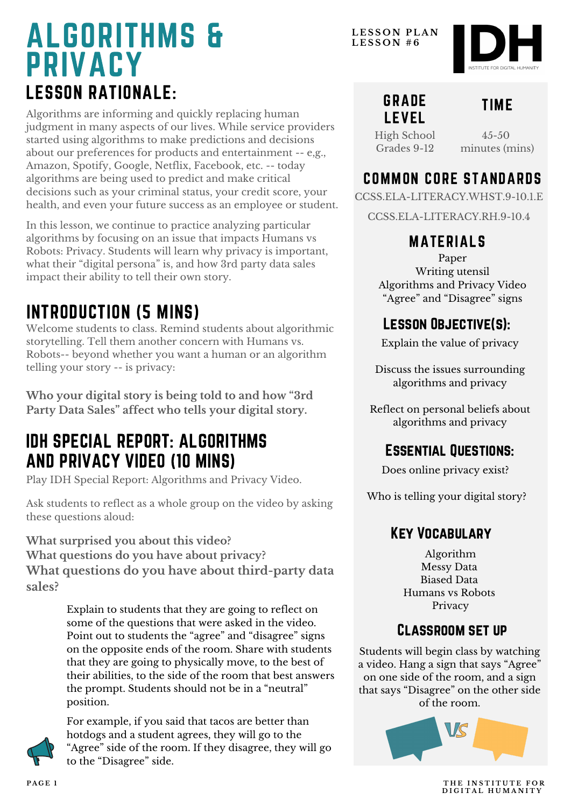# LESSON RATIONALE: ALGORITHMS & PRIVACY

Algorithms are informing and quickly replacing human judgment in many aspects of our lives. While service providers started using algorithms to make predictions and decisions about our preferences for products and entertainment -- e,g., Amazon, Spotify, Google, Netflix, Facebook, etc. -- today algorithms are being used to predict and make critical decisions such as your criminal status, your credit score, your health, and even your future success as an employee or student.

In this lesson, we continue to practice analyzing particular algorithms by focusing on an issue that impacts Humans vs Robots: Privacy. Students will learn why privacy is important, what their "digital persona " is, and how 3rd party data sales impact their ability to tell their own story.

## INTRODUCTION (5 MINS)

Welcome students to class. Remind students about algorithmic storytelling. Tell them another concern with Humans vs. Robots-- beyond whether you want a human or an algorithm telling your story -- is privacy:

**Who your digital story is being told to and how "3rd Party Data Sales" affect who tells your digital story.**

## IDH SPECIAL REPORT: ALGORITHMS AND PRIVACY VIDEO (10 MINS)

Play IDH Special Report: Algorithms and Privacy Video.

Ask students to reflect as a whole group on the video by asking these questions aloud:

**What surprised you about this video?**

**What questions do you have about privacy? What questions do you have about third-party data sales?**

> Explain to students that they are going to reflect on some of the questions that were asked in the video. Point out to students the "agree" and "disagree" signs on the opposite ends of the room. Share with students that they are going to physically move, to the best of their abilities, to the side of the room that best answers the prompt. Students should not be in a "neutral" position.



For example, if you said that tacos are better than hotdogs and a student agrees, they will go to the "Agree" side of the room. If they disagree, they will go to the "Disagree" side.

**L E S S O N P L A N L E S S O N # 6**



#### GRADE LEVEL

## TIME

High School Grades 9-12

 $4.5 - 50$ minutes (mins)

### COMMON CORE STANDARDS

CCSS.ELA-LITERACY.WHST.9-10.1.E

CCSS.ELA-LITERACY.RH.9-10.4

#### MATERIALS

Paper Writing utensil Algorithms and Privacy Video "Agree" and "Disagree" signs

### LESSON OBJECTIVE(S):

Explain the value of privacy

Discuss the issues surrounding algorithms and privacy

Reflect on personal beliefs about algorithms and privacy

### Essential Questions:

Does online privacy exist?

Who is telling your digital story?

#### Key Vocabulary

Algorithm Messy Data Biased Data Humans vs Robots Privacy

#### Classroom set up

Students will begin class by watching a video. Hang a sign that says "Agree" on one side of the room, and a sign that says "Disagree" on the other side of the room.



**PAGE 1 THE INSTITUTE FOR D I G I T A L H U M A N I T Y**